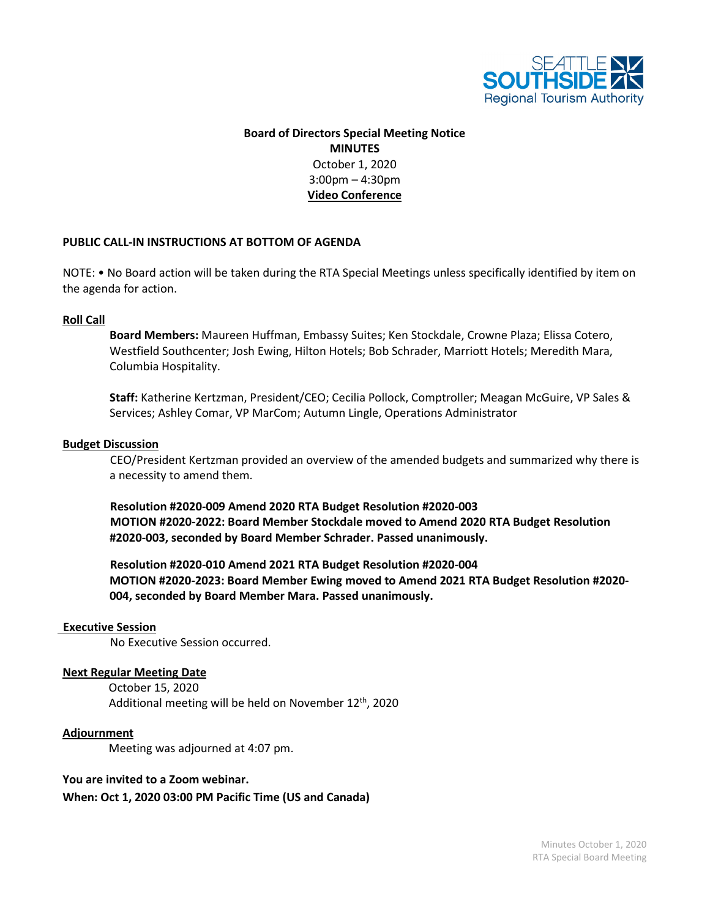

# **Board of Directors Special Meeting Notice MINUTES** October 1, 2020 3:00pm – 4:30pm **Video Conference**

# **PUBLIC CALL-IN INSTRUCTIONS AT BOTTOM OF AGENDA**

NOTE: • No Board action will be taken during the RTA Special Meetings unless specifically identified by item on the agenda for action.

# **Roll Call**

**Board Members:** Maureen Huffman, Embassy Suites; Ken Stockdale, Crowne Plaza; Elissa Cotero, Westfield Southcenter; Josh Ewing, Hilton Hotels; Bob Schrader, Marriott Hotels; Meredith Mara, Columbia Hospitality.

**Staff:** Katherine Kertzman, President/CEO; Cecilia Pollock, Comptroller; Meagan McGuire, VP Sales & Services; Ashley Comar, VP MarCom; Autumn Lingle, Operations Administrator

#### **Budget Discussion**

CEO/President Kertzman provided an overview of the amended budgets and summarized why there is a necessity to amend them.

**Resolution #2020-009 Amend 2020 RTA Budget Resolution #2020-003 MOTION #2020-2022: Board Member Stockdale moved to Amend 2020 RTA Budget Resolution #2020-003, seconded by Board Member Schrader. Passed unanimously.**

**Resolution #2020-010 Amend 2021 RTA Budget Resolution #2020-004 MOTION #2020-2023: Board Member Ewing moved to Amend 2021 RTA Budget Resolution #2020- 004, seconded by Board Member Mara. Passed unanimously.**

#### **Executive Session**

No Executive Session occurred.

### **Next Regular Meeting Date**

 October 15, 2020 Additional meeting will be held on November 12<sup>th</sup>, 2020

#### **Adjournment**

Meeting was adjourned at 4:07 pm.

# **You are invited to a Zoom webinar.**

**When: Oct 1, 2020 03:00 PM Pacific Time (US and Canada)**